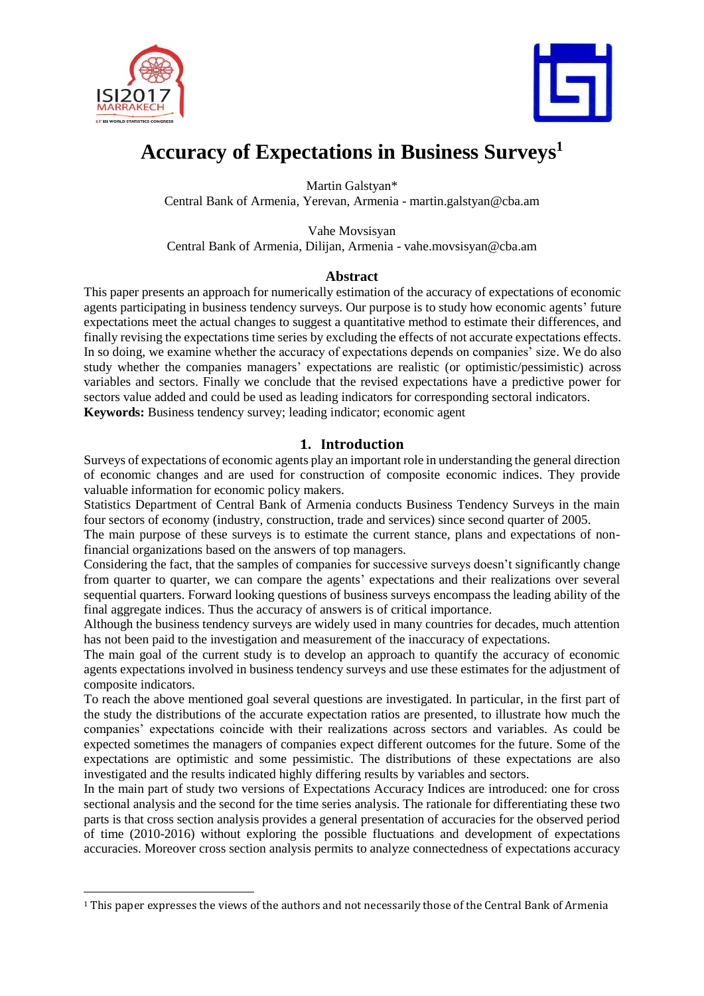



# **Accuracy of Expectations in Business Surveys<sup>1</sup>**

Martin Galstyan\* Central Bank of Armenia, Yerevan, Armenia - martin.galstyan@cba.am

Vahe Movsisyan Central Bank of Armenia, Dilijan, Armenia - vahe.movsisyan@cba.am

### **Abstract**

This paper presents an approach for numerically estimation of the accuracy of expectations of economic agents participating in business tendency surveys. Our purpose is to study how economic agents' future expectations meet the actual changes to suggest a quantitative method to estimate their differences, and finally revising the expectations time series by excluding the effects of not accurate expectations effects. In so doing, we examine whether the accuracy of expectations depends on companies' size. We do also study whether the companies managers' expectations are realistic (or optimistic/pessimistic) across variables and sectors. Finally we conclude that the revised expectations have a predictive power for sectors value added and could be used as leading indicators for corresponding sectoral indicators. **Keywords:** Business tendency survey; leading indicator; economic agent

## **1. Introduction**

Surveys of expectations of economic agents play an important role in understanding the general direction of economic changes and are used for construction of composite economic indices. They provide valuable information for economic policy makers.

Statistics Department of Central Bank of Armenia conducts Business Tendency Surveys in the main four sectors of economy (industry, construction, trade and services) since second quarter of 2005.

The main purpose of these surveys is to estimate the current stance, plans and expectations of nonfinancial organizations based on the answers of top managers.

Considering the fact, that the samples of companies for successive surveys doesn't significantly change from quarter to quarter, we can compare the agents' expectations and their realizations over several sequential quarters. Forward looking questions of business surveys encompass the leading ability of the final aggregate indices. Thus the accuracy of answers is of critical importance.

Although the business tendency surveys are widely used in many countries for decades, much attention has not been paid to the investigation and measurement of the inaccuracy of expectations.

The main goal of the current study is to develop an approach to quantify the accuracy of economic agents expectations involved in business tendency surveys and use these estimates for the adjustment of composite indicators.

To reach the above mentioned goal several questions are investigated. In particular, in the first part of the study the distributions of the accurate expectation ratios are presented, to illustrate how much the companies' expectations coincide with their realizations across sectors and variables. As could be expected sometimes the managers of companies expect different outcomes for the future. Some of the expectations are optimistic and some pessimistic. The distributions of these expectations are also investigated and the results indicated highly differing results by variables and sectors.

In the main part of study two versions of Expectations Accuracy Indices are introduced: one for cross sectional analysis and the second for the time series analysis. The rationale for differentiating these two parts is that cross section analysis provides a general presentation of accuracies for the observed period of time (2010-2016) without exploring the possible fluctuations and development of expectations accuracies. Moreover cross section analysis permits to analyze connectedness of expectations accuracy

<sup>1</sup> This paper expresses the views of the authors and not necessarily those of the Central Bank of Armenia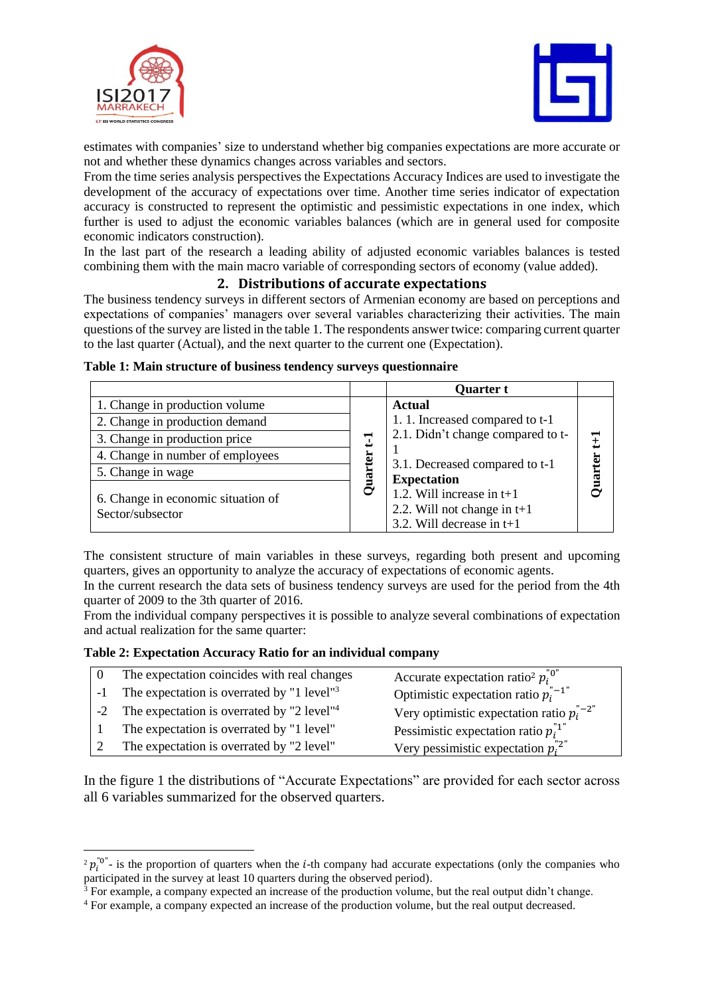

 $\overline{\phantom{a}}$ 



estimates with companies' size to understand whether big companies expectations are more accurate or not and whether these dynamics changes across variables and sectors.

From the time series analysis perspectives the Expectations Accuracy Indices are used to investigate the development of the accuracy of expectations over time. Another time series indicator of expectation accuracy is constructed to represent the optimistic and pessimistic expectations in one index, which further is used to adjust the economic variables balances (which are in general used for composite economic indicators construction).

In the last part of the research a leading ability of adjusted economic variables balances is tested combining them with the main macro variable of corresponding sectors of economy (value added).

### **2. Distributions of accurate expectations**

The business tendency surveys in different sectors of Armenian economy are based on perceptions and expectations of companies' managers over several variables characterizing their activities. The main questions of the survey are listed in the table 1. The respondents answer twice: comparing current quarter to the last quarter (Actual), and the next quarter to the current one (Expectation).

|                                                        |     | <b>Quarter t</b>                                                                            |                |
|--------------------------------------------------------|-----|---------------------------------------------------------------------------------------------|----------------|
| 1. Change in production volume                         |     | <b>Actual</b>                                                                               |                |
| 2. Change in production demand                         |     | 1.1. Increased compared to t-1                                                              |                |
| 3. Change in production price                          | ╦   | 2.1. Didn't change compared to t-                                                           | $\pm$          |
| 4. Change in number of employees                       | ter |                                                                                             |                |
| 5. Change in wage                                      |     | 3.1. Decreased compared to t-1<br><b>Expectation</b>                                        | <b>Quarter</b> |
| 6. Change in economic situation of<br>Sector/subsector | Ō   | 1.2. Will increase in $t+1$<br>2.2. Will not change in $t+1$<br>3.2. Will decrease in $t+1$ |                |

**Table 1: Main structure of business tendency surveys questionnaire**

The consistent structure of main variables in these surveys, regarding both present and upcoming quarters, gives an opportunity to analyze the accuracy of expectations of economic agents.

In the current research the data sets of business tendency surveys are used for the period from the 4th quarter of 2009 to the 3th quarter of 2016.

From the individual company perspectives it is possible to analyze several combinations of expectation and actual realization for the same quarter:

#### **Table 2: Expectation Accuracy Ratio for an individual company**

| The expectation coincides with real changes               | Accurate expectation ratio <sup>2</sup> $p_i^{\text{''0}}$  |
|-----------------------------------------------------------|-------------------------------------------------------------|
| -1 The expectation is overrated by "1 level" $3$          | Optimistic expectation ratio $p_i^{n-1}$                    |
| -2 The expectation is overrated by "2 level" <sup>4</sup> | Very optimistic expectation ratio $p_i^{n-2^n}$             |
| The expectation is overrated by "1 level"                 | Pessimistic expectation ratio $p_i^{\dagger 1}$             |
| The expectation is overrated by "2 level"                 | Very pessimistic expectation $p_i^{\text{''2}^{\text{''}}}$ |

In the figure 1 the distributions of "Accurate Expectations" are provided for each sector across all 6 variables summarized for the observed quarters.

 $2 p_i^{\text{no}}$  is the proportion of quarters when the *i*-th company had accurate expectations (only the companies who participated in the survey at least 10 quarters during the observed period).

 $3$  For example, a company expected an increase of the production volume, but the real output didn't change.

<sup>4</sup> For example, a company expected an increase of the production volume, but the real output decreased.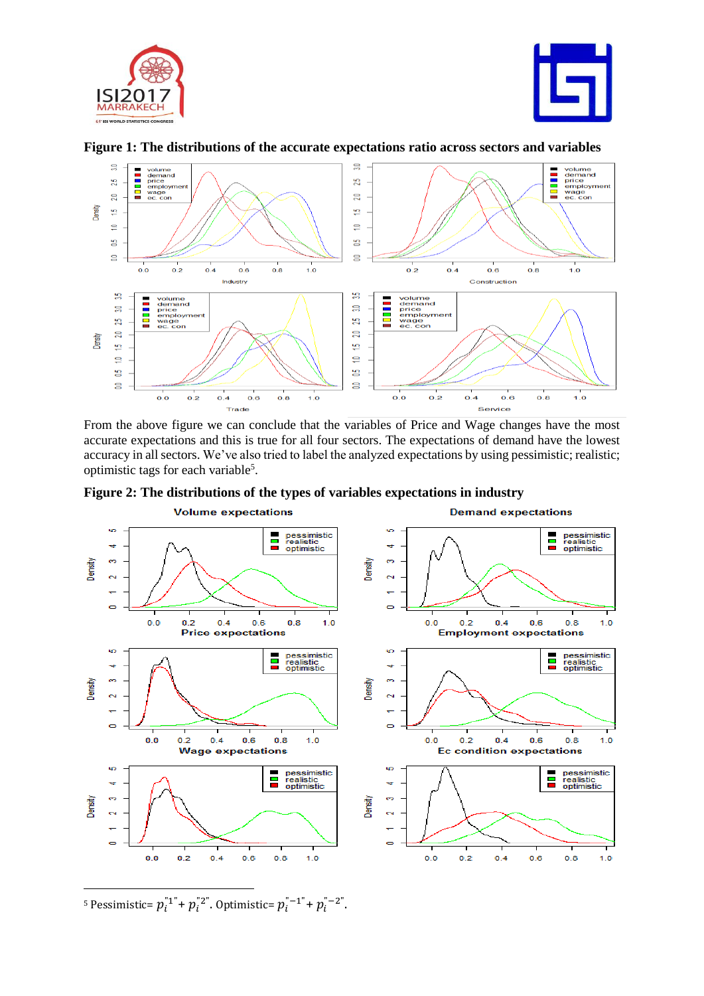





**Figure 1: The distributions of the accurate expectations ratio across sectors and variables**

From the above figure we can conclude that the variables of Price and Wage changes have the most accurate expectations and this is true for all four sectors. The expectations of demand have the lowest accuracy in all sectors. We've also tried to label the analyzed expectations by using pessimistic; realistic; optimistic tags for each variable<sup>5</sup>.





<sup>5</sup> Pessimistic=  $p_i^{\texttt{m}}$ <sup>+</sup>  $p_i^{\texttt{m}}$ <sup>2</sup>". Optimistic=  $p_i^{\texttt{m}}$  -  $1^{\texttt{m}}$  +  $p_i^{\texttt{m}}$  -  $2^{\texttt{m}}$ .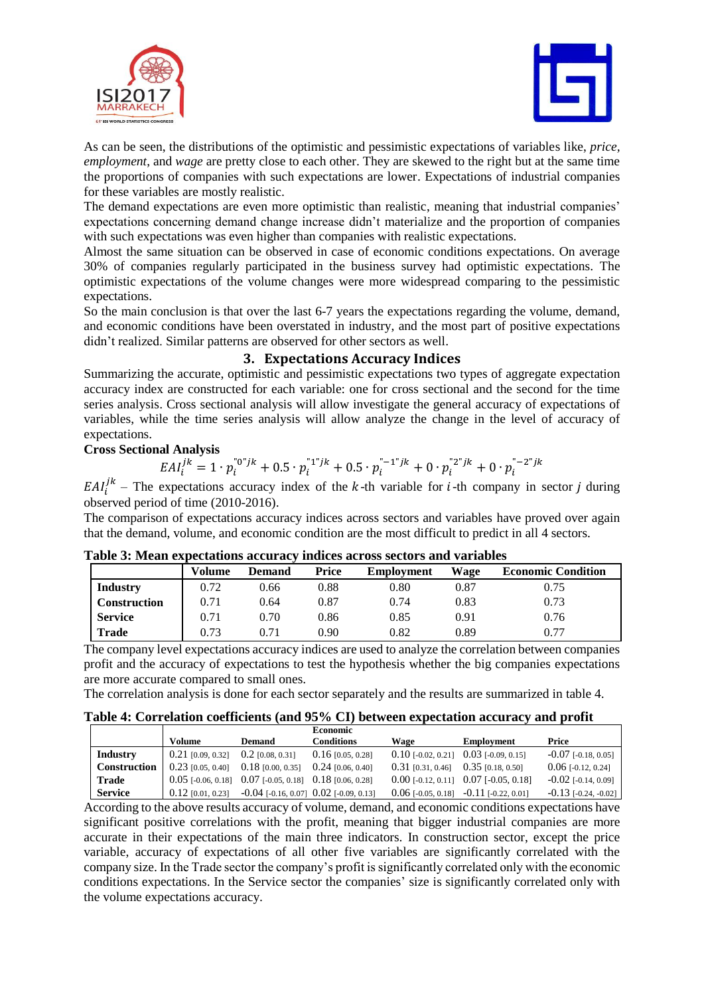



As can be seen, the distributions of the optimistic and pessimistic expectations of variables like, *price, employment*, and *wage* are pretty close to each other. They are skewed to the right but at the same time the proportions of companies with such expectations are lower. Expectations of industrial companies for these variables are mostly realistic.

The demand expectations are even more optimistic than realistic, meaning that industrial companies' expectations concerning demand change increase didn't materialize and the proportion of companies with such expectations was even higher than companies with realistic expectations.

Almost the same situation can be observed in case of economic conditions expectations. On average 30% of companies regularly participated in the business survey had optimistic expectations. The optimistic expectations of the volume changes were more widespread comparing to the pessimistic expectations.

So the main conclusion is that over the last 6-7 years the expectations regarding the volume, demand, and economic conditions have been overstated in industry, and the most part of positive expectations didn't realized. Similar patterns are observed for other sectors as well.

# **3. Expectations Accuracy Indices**

Summarizing the accurate, optimistic and pessimistic expectations two types of aggregate expectation accuracy index are constructed for each variable: one for cross sectional and the second for the time series analysis. Cross sectional analysis will allow investigate the general accuracy of expectations of variables, while the time series analysis will allow analyze the change in the level of accuracy of expectations.

### **Cross Sectional Analysis**

$$
EAI_i^{jk} = 1 \cdot p_i^{n_0} + 0.5 \cdot p_i^{n_1} + 0.5 \cdot p_i^{n_2} + 0 \cdot p_i^{n_3} + 0 \cdot p_i^{n_4} + 0 \cdot p_i^{n_5} + 0 \cdot p_i^{n_6} + 0 \cdot p_i^{n_7} + 0 \cdot p_i^{n_8} + 0 \cdot p_i^{n_9} + 0 \cdot p_i^{n_9} + 0 \cdot p_i^{n_9} + 0 \cdot p_i^{n_9} + 0 \cdot p_i^{n_9} + 0 \cdot p_i^{n_9} + 0 \cdot p_i^{n_9} + 0 \cdot p_i^{n_9} + 0 \cdot p_i^{n_9} + 0 \cdot p_i^{n_9} + 0 \cdot p_i^{n_9} + 0 \cdot p_i^{n_9} + 0 \cdot p_i^{n_9} + 0 \cdot p_i^{n_9} + 0 \cdot p_i^{n_9} + 0 \cdot p_i^{n_9} + 0 \cdot p_i^{n_9} + 0 \cdot p_i^{n_9} + 0 \cdot p_i^{n_9} + 0 \cdot p_i^{n_9} + 0 \cdot p_i^{n_9} + 0 \cdot p_i^{n_9} + 0 \cdot p_i^{n_9} + 0 \cdot p_i^{n_9} + 0 \cdot p_i^{n_9} + 0 \cdot p_i^{n_9} + 0 \cdot p_i^{n_9} + 0 \cdot p_i^{n_9} + 0 \cdot p_i^{n_9} + 0 \cdot p_i^{n_9} + 0 \cdot p_i^{n_9} + 0 \cdot p_i^{n_9} + 0 \cdot p_i^{n_9} + 0 \cdot p_i^{n_9} + 0 \cdot p_i^{n_9} + 0 \cdot p_i^{n_9} + 0 \cdot p_i^{n_9} + 0 \cdot p_i^{n_9} + 0 \cdot p_i^{n_9} + 0 \cdot p_i^{n_9} + 0 \cdot p_i^{n_9} + 0 \cdot p_i^{n_9} + 0 \cdot p_i^{n_9} + 0 \cdot p_i^{n_9} + 0 \cdot p_i^{n_9} + 0 \cdot p_i^{n_9} + 0 \cdot p_i^{n_9} + 0 \cdot p_i^{n_9} + 0 \cdot p_i^{n_9} + 0 \cdot p_i^{n_9} + 0 \cdot p_i^{n_9} + 0 \cdot p_i^{n_9} + 0 \cdot p_i^{n_9} + 0 \cdot
$$

 $E A I_i^{jk}$  – The expectations accuracy index of the k-th variable for *i*-th company in sector *j* during observed period of time (2010-2016).

The comparison of expectations accuracy indices across sectors and variables have proved over again that the demand, volume, and economic condition are the most difficult to predict in all 4 sectors.

| A WAZU UT ITAUWII UISHUUUWUJIN WUUMI WUT IISMIUUN WUL UNN NUUUT MISM TWI IWAZU |        |               |       |            |      |                           |
|--------------------------------------------------------------------------------|--------|---------------|-------|------------|------|---------------------------|
|                                                                                | Volume | <b>Demand</b> | Price | Employment | Wage | <b>Economic Condition</b> |
| <b>Industry</b>                                                                | 0.72   | 0.66          | 0.88  | $0.80\,$   | 0.87 | 0.75                      |
| <b>Construction</b>                                                            | 0.71   | 0.64          | 0.87  | 0.74       | 0.83 | 0.73                      |
| <b>Service</b>                                                                 | 0.71   | 0.70          | 0.86  | 0.85       | 0.91 | 0.76                      |
| <b>Trade</b>                                                                   | 0.73   | 0.71          | 0.90  | 0.82       | 0.89 | 0.77                      |

#### **Table 3: Mean expectations accuracy indices across sectors and variables**

The company level expectations accuracy indices are used to analyze the correlation between companies profit and the accuracy of expectations to test the hypothesis whether the big companies expectations are more accurate compared to small ones.

The correlation analysis is done for each sector separately and the results are summarized in table 4.

|  |  | Table 4: Correlation coefficients (and 95% CI) between expectation accuracy and profit |  |  |
|--|--|----------------------------------------------------------------------------------------|--|--|
|  |  |                                                                                        |  |  |

|                |                      |                                          | <b>Economic</b>                                    |                                         |                                           |                               |
|----------------|----------------------|------------------------------------------|----------------------------------------------------|-----------------------------------------|-------------------------------------------|-------------------------------|
|                | Volume               | <b>Demand</b>                            | <b>Conditions</b>                                  | Wage                                    | Employment                                | Price                         |
| Industry       | $0.21$ [0.09, 0.32]  | $0.2$ [0.08, 0.31]                       | $0.16$ [0.05, 0.28]                                |                                         | $0.10$ [-0.02, 0.21] $0.03$ [-0.09, 0.15] | $-0.07$ [ $-0.18$ , $0.05$ ]  |
| Construction   | $0.23$ [0.05, 0.40]  | $0.18$ [0.00, 0.35]                      | $0.24$ [0.06, 0.40]                                | $0.31$ [0.31, 0.46] $0.35$ [0.18, 0.50] |                                           | $0.06$ [-0.12, 0.24]          |
| Trade          | $0.05$ [-0.06, 0.18] | $0.07$ [-0.05, 0.18] $0.18$ [0.06, 0.28] |                                                    |                                         | $0.00$ [-0.12, 0.11] $0.07$ [-0.05, 0.18] | $-0.02$ [ $-0.14$ , 0.09]     |
| <b>Service</b> | $0.12$ [0.01, 0.23]  |                                          | $-0.04$ [ $-0.16$ , 0.07] $0.02$ [ $-0.09$ , 0.13] |                                         | $0.06$ [-0.05, 0.18] -0.11 [-0.22, 0.01]  | $-0.13$ [ $-0.24$ , $-0.02$ ] |

According to the above results accuracy of volume, demand, and economic conditions expectations have significant positive correlations with the profit, meaning that bigger industrial companies are more accurate in their expectations of the main three indicators. In construction sector, except the price variable, accuracy of expectations of all other five variables are significantly correlated with the company size. In the Trade sector the company's profit is significantly correlated only with the economic conditions expectations. In the Service sector the companies' size is significantly correlated only with the volume expectations accuracy.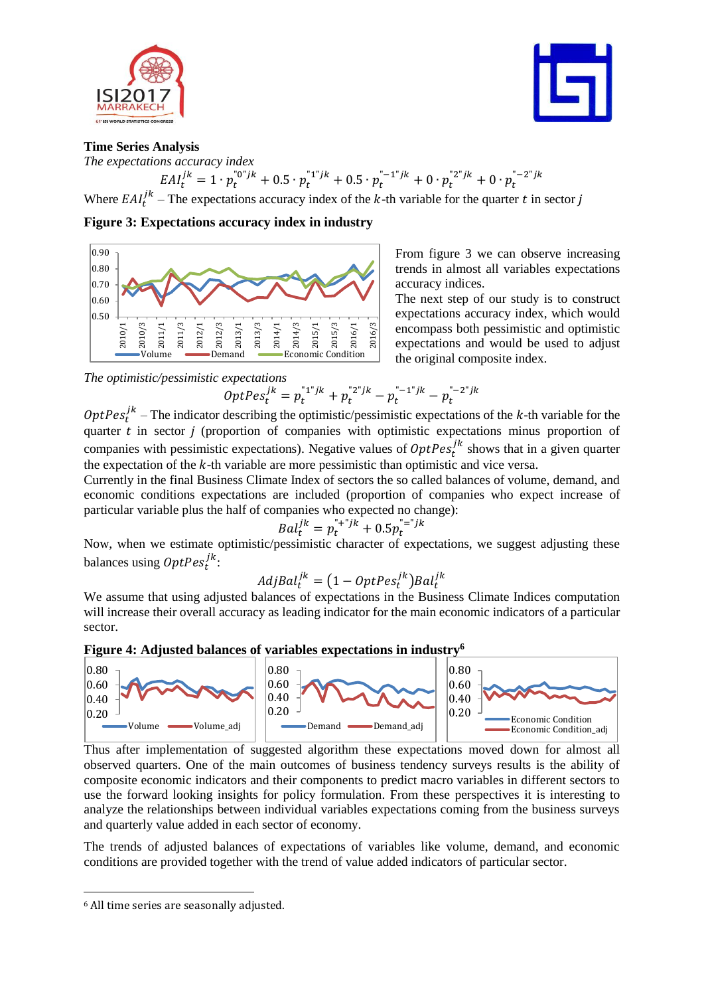



#### **Time Series Analysis**

*The expectations accuracy index*  $EAI_t^{jk} = 1 \cdot p_t^{n_0}b^k + 0.5 \cdot p_t^{n_1}b^k + 0.5 \cdot p_t^{n_2}b^k + 0 \cdot p_t^{n_2}b^k + 0 \cdot p_t^{n_2}b^k$ 

Where  $E A I_t^{\mu}$  – The expectations accuracy index of the k-th variable for the quarter t in sector j jk

**Figure 3: Expectations accuracy index in industry**



From figure 3 we can observe increasing trends in almost all variables expectations accuracy indices.

The next step of our study is to construct expectations accuracy index, which would encompass both pessimistic and optimistic expectations and would be used to adjust the original composite index.

# *The optimistic/pessimistic expectations*

$$
OptPes_t^{jk} = p_t^{r_1r_jk} + p_t^{r_2r_jk} - p_t^{r_1r_jk} - p_t^{r_2r_jk}
$$

 $Opt Pes<sub>t</sub><sup>jk</sup>$  – The indicator describing the optimistic/pessimistic expectations of the k-th variable for the quarter  $t$  in sector  $j$  (proportion of companies with optimistic expectations minus proportion of companies with pessimistic expectations). Negative values of  $OptPos_t^{jk}$  shows that in a given quarter the expectation of the  $k$ -th variable are more pessimistic than optimistic and vice versa.

Currently in the final Business Climate Index of sectors the so called balances of volume, demand, and economic conditions expectations are included (proportion of companies who expect increase of particular variable plus the half of companies who expected no change):

$$
Bal_t^{jk} = p_t^{n+1} + 0.5p_t^{n+1} + 0.5p_t^{n+1}
$$

Now, when we estimate optimistic/pessimistic character of expectations, we suggest adjusting these balances using  $\mathit{OptPes}^{jk}_t$ :

$$
AdjBal_t^{jk} = (1 - Opt Pes_t^{jk}) Bal_t^{jk}
$$

We assume that using adjusted balances of expectations in the Business Climate Indices computation will increase their overall accuracy as leading indicator for the main economic indicators of a particular sector.





Thus after implementation of suggested algorithm these expectations moved down for almost all observed quarters. One of the main outcomes of business tendency surveys results is the ability of composite economic indicators and their components to predict macro variables in different sectors to use the forward looking insights for policy formulation. From these perspectives it is interesting to analyze the relationships between individual variables expectations coming from the business surveys and quarterly value added in each sector of economy.

The trends of adjusted balances of expectations of variables like volume, demand, and economic conditions are provided together with the trend of value added indicators of particular sector.

<sup>6</sup> All time series are seasonally adjusted.